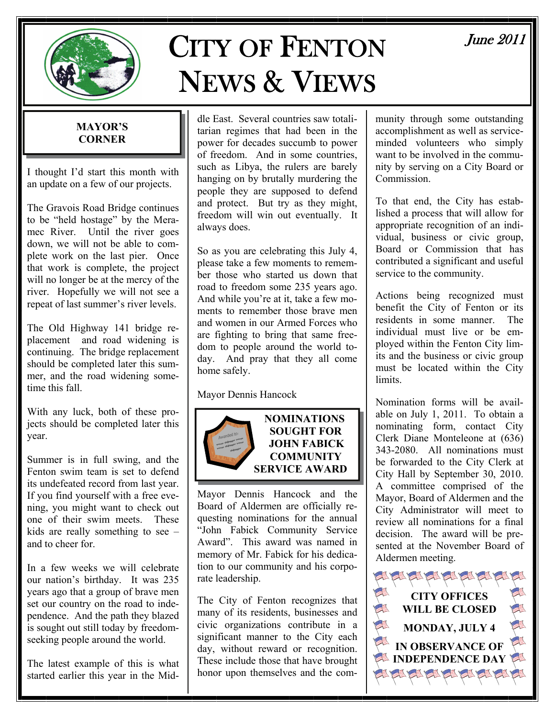

# CITY OF FENTON NEWS & VIEWS

# June 2011

#### **MAYOR'S CORNER**

I thought I'd start this month with an update on a few of our projects.

The Gravois Road Bridge continues to be "held hostage" by the Meramec River. Until the river goes down, we will not be able to complete work on the last pier. Once that work is complete, the project will no longer be at the mercy of the river. Hopefully we will not see a repeat of last summer's river levels.

The Old Highway 141 bridge replacement and road widening is continuing. The bridge replacement should be completed later this summer, and the road widening sometime this fall.

With any luck, both of these projects should be completed later this year.

Summer is in full swing, and the Fenton swim team is set to defend its undefeated record from last year. If you find yourself with a free evening, you might want to check out one of their swim meets. These kids are really something to see – and to cheer for.

In a few weeks we will celebrate our nation's birthday. It was 235 years ago that a group of brave men set our country on the road to independence. And the path they blazed is sought out still today by freedomseeking people around the world.

The latest example of this is what started earlier this year in the Mid-

dle East. Several countries saw totalitarian regimes that had been in the power for decades succumb to power of freedom. And in some countries, such as Libya, the rulers are barely hanging on by brutally murdering the people they are supposed to defend and protect. But try as they might, freedom will win out eventually. It always does.

So as you are celebrating this July 4, please take a few moments to remember those who started us down that road to freedom some 235 years ago. And while you're at it, take a few moments to remember those brave men and women in our Armed Forces who are fighting to bring that same freedom to people around the world today. And pray that they all come home safely.

Mayor Dennis Hancock



**NOMINATIONS SOUGHT FOR JOHN FABICK COMMUNITY SERVICE AWARD** 

Mayor Dennis Hancock and the Board of Aldermen are officially requesting nominations for the annual "John Fabick Community Service Award". This award was named in memory of Mr. Fabick for his dedication to our community and his corporate leadership.

The City of Fenton recognizes that many of its residents, businesses and civic organizations contribute in a significant manner to the City each day, without reward or recognition. These include those that have brought honor upon themselves and the community through some outstanding accomplishment as well as serviceminded volunteers who simply want to be involved in the community by serving on a City Board or Commission.

To that end, the City has established a process that will allow for appropriate recognition of an individual, business or civic group, Board or Commission that has contributed a significant and useful service to the community.

Actions being recognized must benefit the City of Fenton or its residents in some manner. The individual must live or be employed within the Fenton City limits and the business or civic group must be located within the City limits.

Nomination forms will be available on July 1, 2011. To obtain a nominating form, contact City Clerk Diane Monteleone at (636) 343-2080. All nominations must be forwarded to the City Clerk at City Hall by September 30, 2010. A committee comprised of the Mayor, Board of Aldermen and the City Administrator will meet to review all nominations for a final decision. The award will be presented at the November Board of Aldermen meeting.

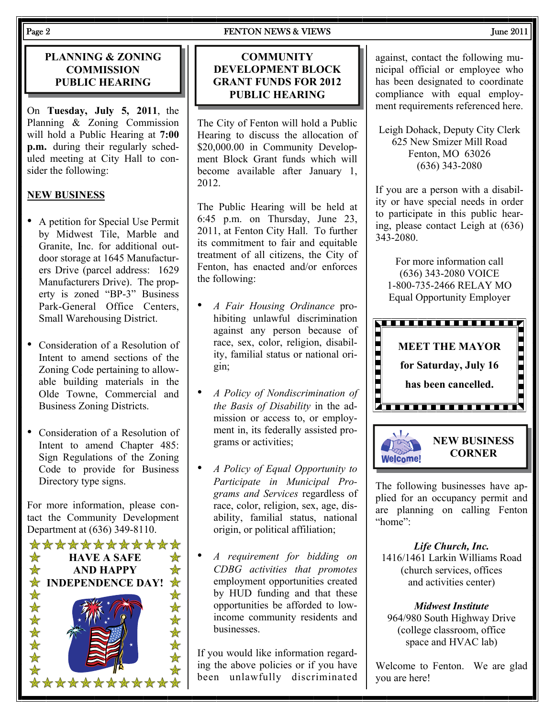#### Page 2 FENTON NEWS & VIEWS June 2011

#### **PLANNING & ZONING COMMISSION PUBLIC HEARING**

On **Tuesday, July 5, 2011**, the Planning & Zoning Commission will hold a Public Hearing at **7:00 p.m.** during their regularly scheduled meeting at City Hall to consider the following:

#### **NEW BUSINESS**

- A petition for Special Use Permit by Midwest Tile, Marble and Granite, Inc. for additional outdoor storage at 1645 Manufacturers Drive (parcel address: 1629 Manufacturers Drive). The property is zoned "BP-3" Business Park-General Office Centers, Small Warehousing District.
- Consideration of a Resolution of Intent to amend sections of the Zoning Code pertaining to allowable building materials in the Olde Towne, Commercial and Business Zoning Districts.
- Consideration of a Resolution of Intent to amend Chapter 485: Sign Regulations of the Zoning Code to provide for Business Directory type signs.

For more information, please contact the Community Development Department at (636) 349-8110.



#### **COMMUNITY DEVELOPMENT BLOCK GRANT FUNDS FOR 2012 PUBLIC HEARING**

The City of Fenton will hold a Public Hearing to discuss the allocation of \$20,000.00 in Community Development Block Grant funds which will become available after January 1, 2012.

The Public Hearing will be held at 6:45 p.m. on Thursday, June 23, 2011, at Fenton City Hall. To further its commitment to fair and equitable treatment of all citizens, the City of Fenton, has enacted and/or enforces the following:

- *A Fair Housing Ordinance* prohibiting unlawful discrimination against any person because of race, sex, color, religion, disability, familial status or national origin;
- *A Policy of Nondiscrimination of the Basis of Disability* in the admission or access to, or employment in, its federally assisted programs or activities;
- *A Policy of Equal Opportunity to Participate in Municipal Programs and Services* regardless of race, color, religion, sex, age, disability, familial status, national origin, or political affiliation;
- *A requirement for bidding on CDBG activities that promotes* employment opportunities created by HUD funding and that these opportunities be afforded to lowincome community residents and businesses.

If you would like information regarding the above policies or if you have been unlawfully discriminated against, contact the following municipal official or employee who has been designated to coordinate compliance with equal employment requirements referenced here.

Leigh Dohack, Deputy City Clerk 625 New Smizer Mill Road Fenton, MO 63026 (636) 343-2080

If you are a person with a disability or have special needs in order to participate in this public hearing, please contact Leigh at (636) 343-2080.

For more information call (636) 343-2080 VOICE 1-800-735-2466 RELAY MO Equal Opportunity Employer





The following businesses have applied for an occupancy permit and are planning on calling Fenton "home":

*Life Church, Inc.*  1416/1461 Larkin Williams Road (church services, offices and activities center)

*Midwest Institute*  964/980 South Highway Drive (college classroom, office space and HVAC lab)

Welcome to Fenton. We are glad you are here!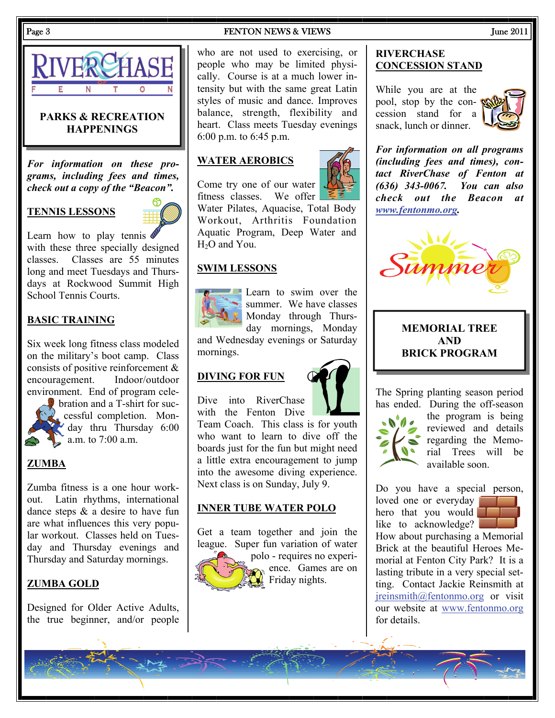

#### **PARKS & RECREATION HAPPENINGS**

*For information on these programs, including fees and times, check out a copy of the "Beacon".* 

#### **TENNIS LESSONS**



Learn how to play tennis  $\triangleleft$ with these three specially designed classes. Classes are 55 minutes long and meet Tuesdays and Thursdays at Rockwood Summit High School Tennis Courts.

#### **BASIC TRAINING**

Six week long fitness class modeled on the military's boot camp. Class consists of positive reinforcement & encouragement. Indoor/outdoor environment. End of program cele-



bration and a T-shirt for successful completion. Mon- $\mathcal{L}$  day thru Thursday 6:00 a.m. to  $7:00$  a.m.

#### **ZUMBA**

Zumba fitness is a one hour workout. Latin rhythms, international dance steps & a desire to have fun are what influences this very popular workout. Classes held on Tuesday and Thursday evenings and Thursday and Saturday mornings.

#### **ZUMBA GOLD**

Designed for Older Active Adults, the true beginner, and/or people

#### Page 3 June 2011

who are not used to exercising, or people who may be limited physically. Course is at a much lower intensity but with the same great Latin styles of music and dance. Improves balance, strength, flexibility and heart. Class meets Tuesday evenings 6:00 p.m. to 6:45 p.m.

#### **WATER AEROBICS**



Come try one of our water fitness classes. We offer Water Pilates, Aquacise, Total Body Workout, Arthritis Foundation Aquatic Program, Deep Water and H<sub>2</sub>O and You.

#### **SWIM LESSONS**



Learn to swim over the summer. We have classes Monday through Thursday mornings, Monday

and Wednesday evenings or Saturday mornings.

#### **DIVING FOR FUN**



Dive into RiverChase with the Fenton Dive

Team Coach. This class is for youth who want to learn to dive off the boards just for the fun but might need a little extra encouragement to jump into the awesome diving experience. Next class is on Sunday, July 9.

#### **INNER TUBE WATER POLO**

Get a team together and join the league. Super fun variation of water



polo - requires no experience. Games are on Friday nights.

#### **RIVERCHASE CONCESSION STAND**

While you are at the pool, stop by the concession stand for a snack, lunch or dinner.



*For information on all programs (including fees and times), contact RiverChase of Fenton at (636) 343-0067. You can also check out the Beacon at [www.fentonmo.org](http://www.fentonmo.org/).*



#### **MEMORIAL TREE AND BRICK PROGRAM**

The Spring planting season period has ended. During the off-season



the program is being reviewed and details regarding the Memorial Trees will be available soon.

Do you have a special person, loved one or everyday hero that you would like to acknowledge?

How about purchasing a Memorial Brick at the beautiful Heroes Memorial at Fenton City Park? It is a lasting tribute in a very special setting. Contact Jackie Reinsmith at [jreinsmith@fentonmo.org](mailto:jreinsmith@fentonmo.org) or visit our website at [www.fentonmo.org](http://www.fentonmo.org) for details.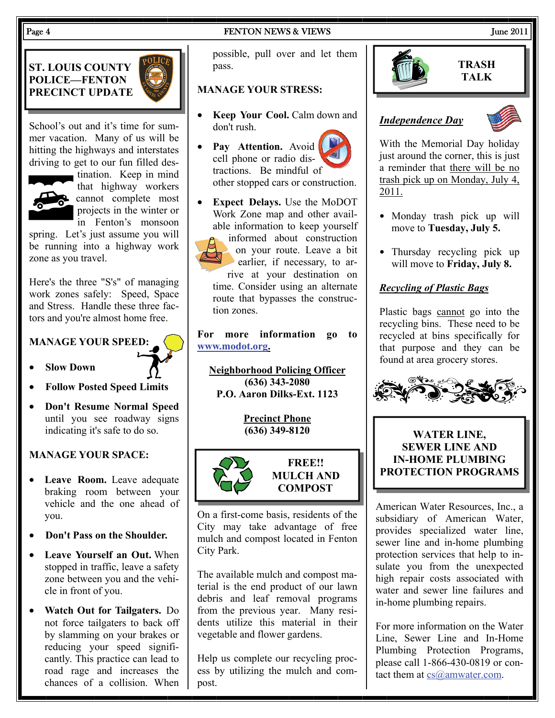#### Page 4 Services and Services Services Services Services Services Services Services Services Services Services Super 2011

## **ST. LOUIS COUNTY POLICE—FENTON PRECINCT UPDATE**



School's out and it's time for summer vacation. Many of us will be hitting the highways and interstates driving to get to our fun filled des-



tination. Keep in mind that highway workers cannot complete most projects in the winter or in Fenton's monsoon

spring. Let's just assume you will be running into a highway work zone as you travel.

Here's the three "S's" of managing work zones safely: Speed, Space and Stress. Handle these three factors and you're almost home free.

#### **MANAGE YOUR SPEED:**



- **Slow Down**
- **Follow Posted Speed Limits**
- **Don't Resume Normal Speed** until you see roadway signs indicating it's safe to do so.

#### **MANAGE YOUR SPACE:**

- **Leave Room.** Leave adequate braking room between your vehicle and the one ahead of you.
- **Don't Pass on the Shoulder.**
- **Leave Yourself an Out.** When stopped in traffic, leave a safety zone between you and the vehicle in front of you.
- **Watch Out for Tailgaters.** Do not force tailgaters to back off by slamming on your brakes or reducing your speed significantly. This practice can lead to road rage and increases the chances of a collision. When

possible, pull over and let them pass.

#### **MANAGE YOUR STRESS:**

- **Keep Your Cool.** Calm down and don't rush.
- Pay Attention. Avoid cell phone or radio distractions. Be mindful of other stopped cars or construction.
- **Expect Delays.** Use the MoDOT Work Zone map and other available information to keep yourself informed about construction on your route. Leave a bit earlier, if necessary, to arrive at your destination on

time. Consider using an alternate route that bypasses the construction zones.

**For more information go to [www.modot.org](http://www.modot.org).**

**Neighborhood Policing Officer (636) 343-2080 P.O. Aaron Dilks-Ext. 1123** 

**Precinct Phone**



**FREE!! MULCH AND COMPOST** 

On a first-come basis, residents of the City may take advantage of free mulch and compost located in Fenton City Park.

The available mulch and compost material is the end product of our lawn debris and leaf removal programs from the previous year. Many residents utilize this material in their vegetable and flower gardens.

Help us complete our recycling process by utilizing the mulch and compost.



**TRASH TALK** 

#### *Independence Day*



With the Memorial Day holiday just around the corner, this is just a reminder that there will be no trash pick up on Monday, July 4, 2011.

- Monday trash pick up will move to **Tuesday, July 5.**
- Thursday recycling pick up will move to **Friday, July 8.**

#### *Recycling of Plastic Bags*

Plastic bags cannot go into the recycling bins. These need to be recycled at bins specifically for that purpose and they can be found at area grocery stores.



### **(636) 349-8120 WATER LINE, SEWER LINE AND IN-HOME PLUMBING PROTECTION PROGRAMS**

American Water Resources, Inc., a subsidiary of American Water, provides specialized water line, sewer line and in-home plumbing protection services that help to insulate you from the unexpected high repair costs associated with water and sewer line failures and in-home plumbing repairs.

For more information on the Water Line, Sewer Line and In-Home Plumbing Protection Programs, please call 1-866-430-0819 or contact them at [cs@amwater.com](mailto:cs@amwater.com).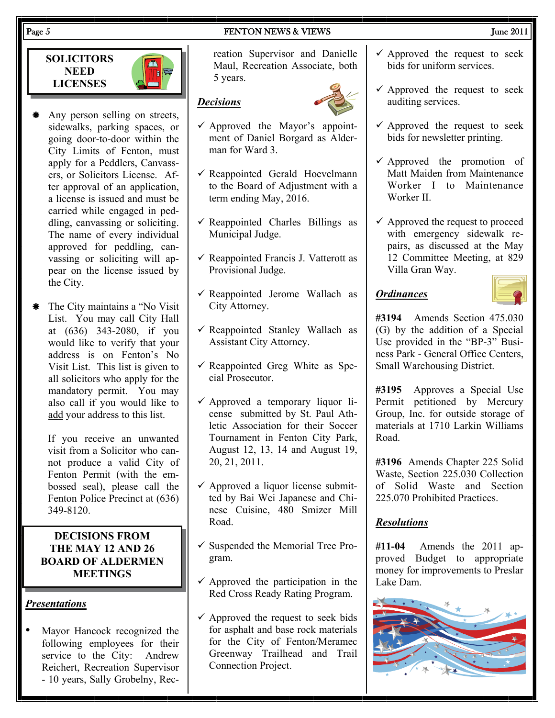#### Page 5 FENTON NEWS & VIEWS June 2011

**SOLICITORS NEED LICENSES** 



- \* Any person selling on streets, sidewalks, parking spaces, or going door-to-door within the City Limits of Fenton, must apply for a Peddlers, Canvassers, or Solicitors License. After approval of an application, a license is issued and must be carried while engaged in peddling, canvassing or soliciting. The name of every individual approved for peddling, canvassing or soliciting will appear on the license issued by the City.
- \* The City maintains a "No Visit" List. You may call City Hall at (636) 343-2080, if you would like to verify that your address is on Fenton's No Visit List. This list is given to all solicitors who apply for the mandatory permit. You may also call if you would like to add your address to this list.

If you receive an unwanted visit from a Solicitor who cannot produce a valid City of Fenton Permit (with the embossed seal), please call the Fenton Police Precinct at (636) 349-8120.

#### **DECISIONS FROM THE MAY 12 AND 26 BOARD OF ALDERMEN MEETINGS**

#### *Presentations*

Mayor Hancock recognized the following employees for their service to the City: Andrew Reichert, Recreation Supervisor - 10 years, Sally Grobelny, Recreation Supervisor and Danielle Maul, Recreation Associate, both 5 years.

#### *Decisions*

- $\checkmark$  Approved the Mayor's appointment of Daniel Borgard as Alderman for Ward 3.
- $\checkmark$  Reappointed Gerald Hoevelmann to the Board of Adjustment with a term ending May, 2016.
- $\checkmark$  Reappointed Charles Billings as Municipal Judge.
- $\checkmark$  Reappointed Francis J. Vatterott as Provisional Judge.
- $\checkmark$  Reappointed Jerome Wallach as City Attorney.
- $\checkmark$  Reappointed Stanley Wallach as Assistant City Attorney.
- $\checkmark$  Reappointed Greg White as Special Prosecutor.
- $\checkmark$  Approved a temporary liquor license submitted by St. Paul Athletic Association for their Soccer Tournament in Fenton City Park, August 12, 13, 14 and August 19, 20, 21, 2011.
- $\checkmark$  Approved a liquor license submitted by Bai Wei Japanese and Chinese Cuisine, 480 Smizer Mill Road.
- $\checkmark$  Suspended the Memorial Tree Program.
- $\checkmark$  Approved the participation in the Red Cross Ready Rating Program.
- $\checkmark$  Approved the request to seek bids for asphalt and base rock materials for the City of Fenton/Meramec Greenway Trailhead and Trail Connection Project.
- $\checkmark$  Approved the request to seek bids for uniform services.
- $\checkmark$  Approved the request to seek auditing services.
- $\checkmark$  Approved the request to seek bids for newsletter printing.
- $\checkmark$  Approved the promotion of Matt Maiden from Maintenance Worker I to Maintenance Worker II.
- $\checkmark$  Approved the request to proceed with emergency sidewalk repairs, as discussed at the May 12 Committee Meeting, at 829 Villa Gran Way.

#### *Ordinances*

**#3194** Amends Section 475.030 (G) by the addition of a Special Use provided in the "BP-3" Business Park - General Office Centers, Small Warehousing District.

**#3195** Approves a Special Use Permit petitioned by Mercury Group, Inc. for outside storage of materials at 1710 Larkin Williams Road.

**#3196** Amends Chapter 225 Solid Waste, Section 225.030 Collection of Solid Waste and Section 225.070 Prohibited Practices.

#### *Resolutions*

**#11-04** Amends the 2011 approved Budget to appropriate money for improvements to Preslar Lake Dam.